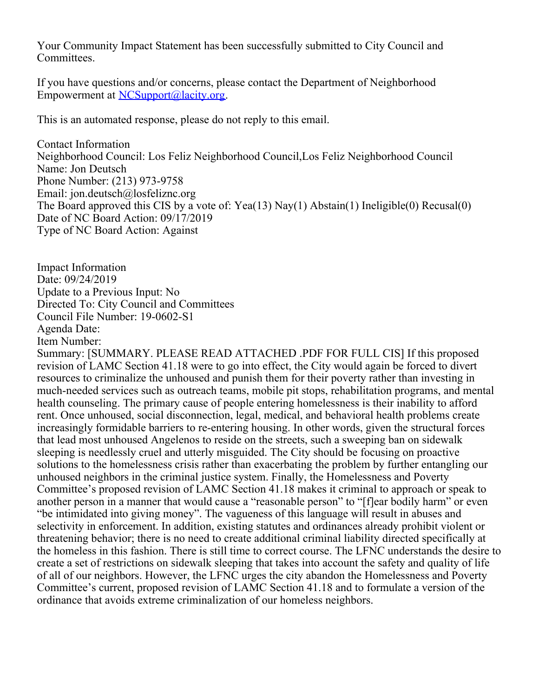Your Community Impact Statement has been successfully submitted to City Council and Committees.

If you have questions and/or concerns, please contact the Department of Neighborhood Empowerment at [NCSupport@lacity.org](mailto:NCSupport@lacity.org).

This is an automated response, please do not reply to this email.

Contact Information Neighborhood Council: Los Feliz Neighborhood Council,Los Feliz Neighborhood Council Name: Jon Deutsch Phone Number: (213) 973-9758 Email: jon.deutsch@losfeliznc.org The Board approved this CIS by a vote of: Yea(13) Nay(1) Abstain(1) Ineligible(0) Recusal(0) Date of NC Board Action: 09/17/2019 Type of NC Board Action: Against

Impact Information Date: 09/24/2019 Update to a Previous Input: No Directed To: City Council and Committees Council File Number: 19-0602-S1 Agenda Date: Item Number:

Summary: [SUMMARY. PLEASE READ ATTACHED .PDF FOR FULL CIS] If this proposed revision of LAMC Section 41.18 were to go into effect, the City would again be forced to divert resources to criminalize the unhoused and punish them for their poverty rather than investing in much-needed services such as outreach teams, mobile pit stops, rehabilitation programs, and mental health counseling. The primary cause of people entering homelessness is their inability to afford rent. Once unhoused, social disconnection, legal, medical, and behavioral health problems create increasingly formidable barriers to re-entering housing. In other words, given the structural forces that lead most unhoused Angelenos to reside on the streets, such a sweeping ban on sidewalk sleeping is needlessly cruel and utterly misguided. The City should be focusing on proactive solutions to the homelessness crisis rather than exacerbating the problem by further entangling our unhoused neighbors in the criminal justice system. Finally, the Homelessness and Poverty Committee's proposed revision of LAMC Section 41.18 makes it criminal to approach or speak to another person in a manner that would cause a "reasonable person" to "[f]ear bodily harm" or even "be intimidated into giving money". The vagueness of this language will result in abuses and selectivity in enforcement. In addition, existing statutes and ordinances already prohibit violent or threatening behavior; there is no need to create additional criminal liability directed specifically at the homeless in this fashion. There is still time to correct course. The LFNC understands the desire to create a set of restrictions on sidewalk sleeping that takes into account the safety and quality of life of all of our neighbors. However, the LFNC urges the city abandon the Homelessness and Poverty Committee's current, proposed revision of LAMC Section 41.18 and to formulate a version of the ordinance that avoids extreme criminalization of our homeless neighbors.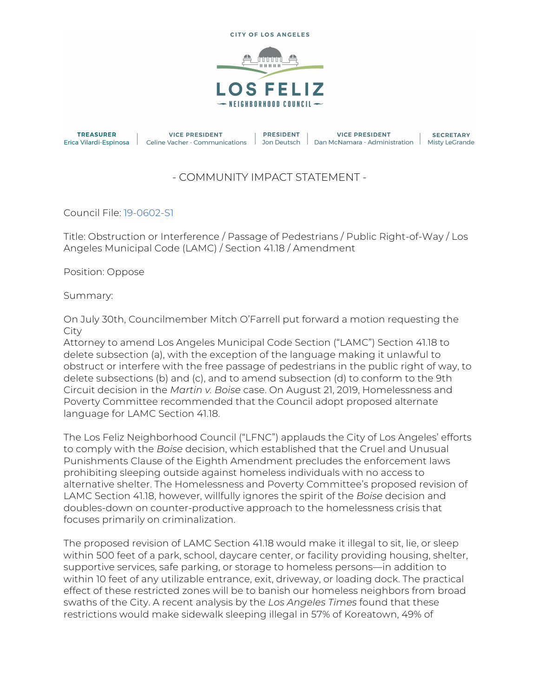



## - COMMUNITY IMPACT STATEMENT -

Council File: 19-0602-S1

Title: Obstruction or Interference / Passage of Pedestrians / Public Right-of-Way / Los Angeles Municipal Code (LAMC) / Section 41.18 / Amendment

Position: Oppose

Summary:

On July 30th, Councilmember Mitch O'Farrell put forward a motion requesting the City

Attorney to amend Los Angeles Municipal Code Section ("LAMC") Section 41.18 to delete subsection (a), with the exception of the language making it unlawful to obstruct or interfere with the free passage of pedestrians in the public right of way, to delete subsections (b) and (c), and to amend subsection (d) to conform to the 9th Circuit decision in the *Martin v. Boise* case. On August 21, 2019, Homelessness and Poverty Committee recommended that the Council adopt proposed alternate language for LAMC Section 41.18.

The Los Feliz Neighborhood Council ("LFNC") applauds the City of Los Angeles' efforts to comply with the *Boise* decision, which established that the Cruel and Unusual Punishments Clause of the Eighth Amendment precludes the enforcement laws prohibiting sleeping outside against homeless individuals with no access to alternative shelter. The Homelessness and Poverty Committee's proposed revision of LAMC Section 41.18, however, willfully ignores the spirit of the *Boise* decision and doubles-down on counter-productive approach to the homelessness crisis that focuses primarily on criminalization.

The proposed revision of LAMC Section 41.18 would make it illegal to sit, lie, or sleep within 500 feet of a park, school, daycare center, or facility providing housing, shelter, supportive services, safe parking, or storage to homeless persons—in addition to within 10 feet of any utilizable entrance, exit, driveway, or loading dock. The practical effect of these restricted zones will be to banish our homeless neighbors from broad swaths of the City. A recent analysis by the *Los Angeles Times* found that these restrictions would make sidewalk sleeping illegal in 57% of Koreatown, 49% of